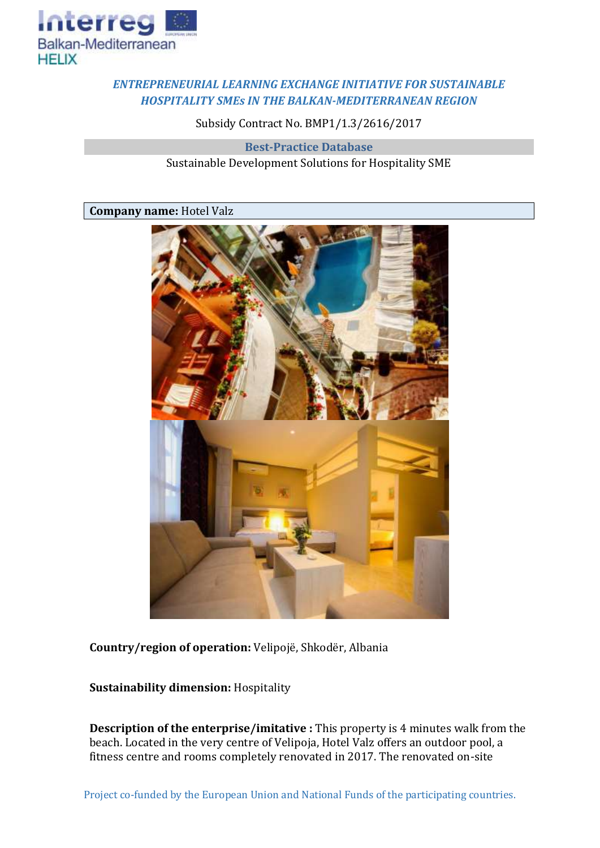

## *ENTREPRENEURIAL LEARNING EXCHANGE INITIATIVE FOR SUSTAINABLE HOSPITALITY SMEs IN THE BALKAN-MEDITERRANEAN REGION*

Subsidy Contract No. BMP1/1.3/2616/2017

**Best-Practice Database** Sustainable Development Solutions for Hospitality SME

## **Company name:** Hotel Valz



**Country/region of operation:** Velipojë, Shkodër, Albania

**Sustainability dimension:** Hospitality

**Description of the enterprise/imitative :** This property is 4 minutes walk from the beach. Located in the very centre of Velipoja, Hotel Valz offers an outdoor pool, a fitness centre and rooms completely renovated in 2017. The renovated on-site

Project co-funded by the European Union and National Funds of the participating countries.